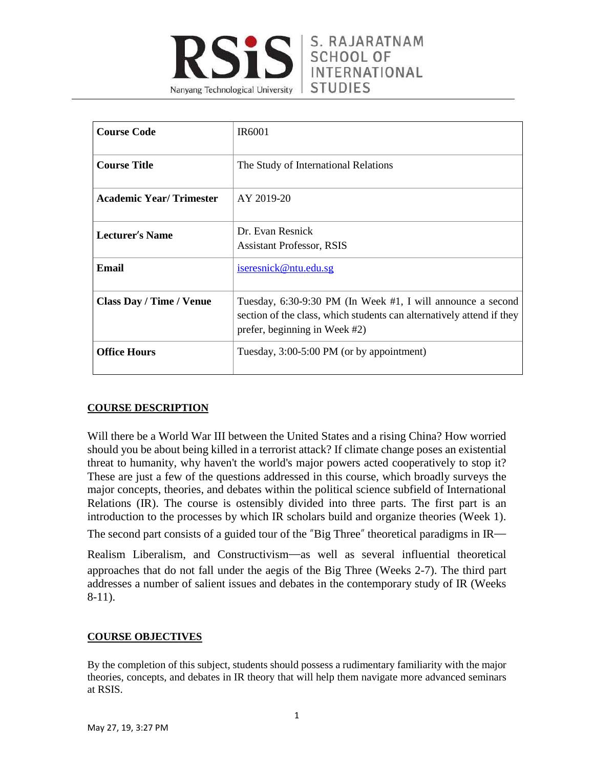

| <b>Course Code</b>              | IR <sub>6001</sub>                                                                                                                                                    |
|---------------------------------|-----------------------------------------------------------------------------------------------------------------------------------------------------------------------|
| <b>Course Title</b>             | The Study of International Relations                                                                                                                                  |
| <b>Academic Year/Trimester</b>  | AY 2019-20                                                                                                                                                            |
| <b>Lecturer's Name</b>          | Dr. Evan Resnick<br><b>Assistant Professor, RSIS</b>                                                                                                                  |
| Email                           | iseresnick@ntu.edu.sg                                                                                                                                                 |
| <b>Class Day / Time / Venue</b> | Tuesday, 6:30-9:30 PM (In Week #1, I will announce a second<br>section of the class, which students can alternatively attend if they<br>prefer, beginning in Week #2) |
| <b>Office Hours</b>             | Tuesday, 3:00-5:00 PM (or by appointment)                                                                                                                             |

# **COURSE DESCRIPTION**

Will there be a World War III between the United States and a rising China? How worried should you be about being killed in a terrorist attack? If climate change poses an existential threat to humanity, why haven't the world's major powers acted cooperatively to stop it? These are just a few of the questions addressed in this course, which broadly surveys the major concepts, theories, and debates within the political science subfield of International Relations (IR). The course is ostensibly divided into three parts. The first part is an introduction to the processes by which IR scholars build and organize theories (Week 1).

The second part consists of a guided tour of the "Big Three" theoretical paradigms in IR—

Realism Liberalism, and Constructivism—as well as several influential theoretical approaches that do not fall under the aegis of the Big Three (Weeks 2-7). The third part addresses a number of salient issues and debates in the contemporary study of IR (Weeks 8-11).

# **COURSE OBJECTIVES**

By the completion of this subject, students should possess a rudimentary familiarity with the major theories, concepts, and debates in IR theory that will help them navigate more advanced seminars at RSIS.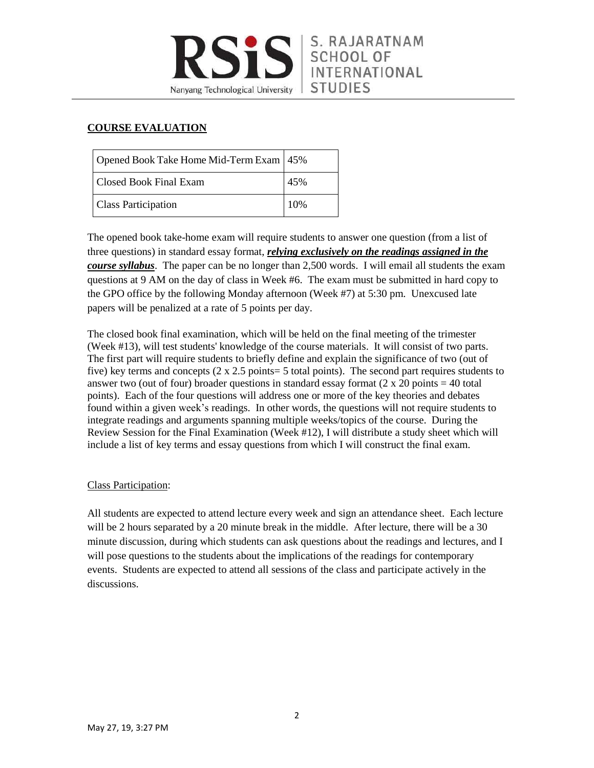

# **COURSE EVALUATION**

| Opened Book Take Home Mid-Term Exam   45% |      |
|-------------------------------------------|------|
| Closed Book Final Exam                    | 45%  |
| <b>Class Participation</b>                | 10\% |

The opened book take-home exam will require students to answer one question (from a list of three questions) in standard essay format, *relying exclusively on the readings assigned in the course syllabus*. The paper can be no longer than 2,500 words. I will email all students the exam questions at 9 AM on the day of class in Week #6. The exam must be submitted in hard copy to the GPO office by the following Monday afternoon (Week #7) at 5:30 pm. Unexcused late papers will be penalized at a rate of 5 points per day.

The closed book final examination, which will be held on the final meeting of the trimester (Week #13), will test students' knowledge of the course materials. It will consist of two parts. The first part will require students to briefly define and explain the significance of two (out of five) key terms and concepts  $(2 \times 2.5 \text{ points} = 5 \text{ total points})$ . The second part requires students to answer two (out of four) broader questions in standard essay format  $(2 \times 20 \text{ points} = 40 \text{ total})$ points). Each of the four questions will address one or more of the key theories and debates found within a given week's readings. In other words, the questions will not require students to integrate readings and arguments spanning multiple weeks/topics of the course. During the Review Session for the Final Examination (Week #12), I will distribute a study sheet which will include a list of key terms and essay questions from which I will construct the final exam.

# Class Participation:

All students are expected to attend lecture every week and sign an attendance sheet. Each lecture will be 2 hours separated by a 20 minute break in the middle. After lecture, there will be a 30 minute discussion, during which students can ask questions about the readings and lectures, and I will pose questions to the students about the implications of the readings for contemporary events. Students are expected to attend all sessions of the class and participate actively in the discussions.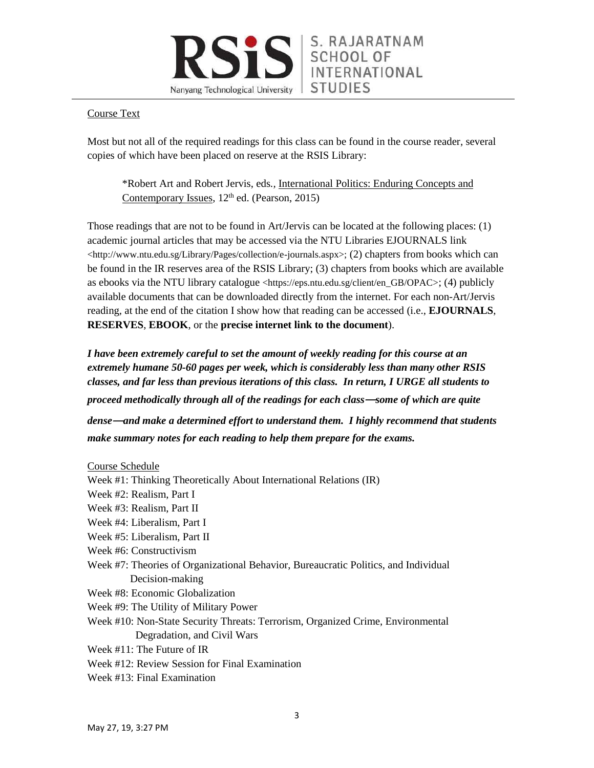### Course Text

Most but not all of the required readings for this class can be found in the course reader, several copies of which have been placed on reserve at the RSIS Library:

\*Robert Art and Robert Jervis, eds*.,* International Politics: Enduring Concepts and Contemporary Issues,  $12<sup>th</sup>$  ed. (Pearson, 2015)

Those readings that are not to be found in Art/Jervis can be located at the following places: (1) academic journal articles that may be accessed via the NTU Libraries EJOURNALS link <http://www.ntu.edu.sg/Library/Pages/collection/e-journals.aspx>; (2) chapters from books which can be found in the IR reserves area of the RSIS Library; (3) chapters from books which are available as ebooks via the NTU library catalogue <https://eps.ntu.edu.sg/client/en\_GB/OPAC>; (4) publicly available documents that can be downloaded directly from the internet. For each non-Art/Jervis reading, at the end of the citation I show how that reading can be accessed (i.e., **EJOURNALS**, **RESERVES**, **EBOOK**, or the **precise internet link to the document**).

*I have been extremely careful to set the amount of weekly reading for this course at an extremely humane 50-60 pages per week, which is considerably less than many other RSIS classes, and far less than previous iterations of this class. In return, I URGE all students to proceed methodically through all of the readings for each class*—*some of which are quite*

*dense*—*and make a determined effort to understand them. I highly recommend that students make summary notes for each reading to help them prepare for the exams.*

#### Course Schedule

- Week #1: Thinking Theoretically About International Relations (IR) Week #2: Realism, Part I Week #3: Realism, Part II Week #4: Liberalism, Part I Week #5: Liberalism, Part II Week #6: Constructivism Week #7: Theories of Organizational Behavior, Bureaucratic Politics, and Individual Decision-making Week #8: Economic Globalization Week #9: The Utility of Military Power Week #10: Non-State Security Threats: Terrorism, Organized Crime, Environmental Degradation, and Civil Wars Week #11: The Future of IR Week #12: Review Session for Final Examination
- Week #13: Final Examination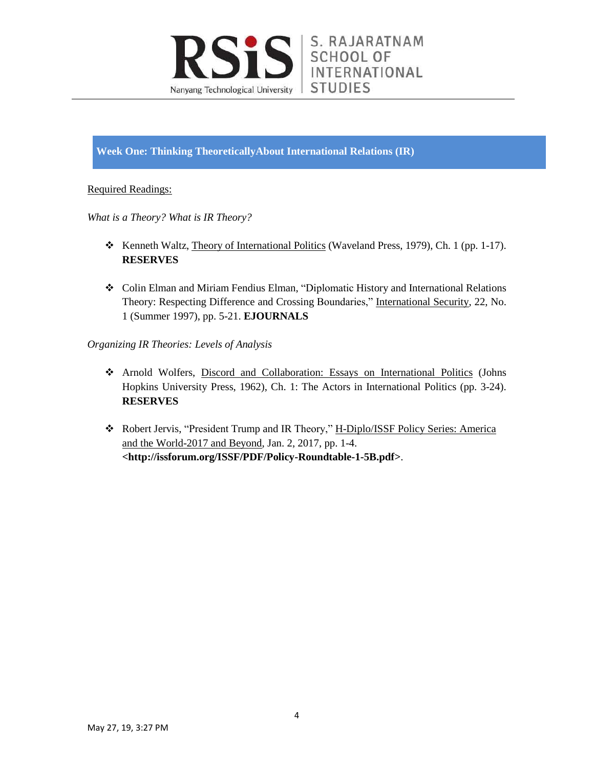

**Week One: Thinking TheoreticallyAbout International Relations (IR)**

# Required Readings:

*What is a Theory? What is IR Theory?*

- \* Kenneth Waltz, Theory of International Politics (Waveland Press, 1979), Ch. 1 (pp. 1-17). **RESERVES**
- Colin Elman and Miriam Fendius Elman, "Diplomatic History and International Relations Theory: Respecting Difference and Crossing Boundaries," International Security, 22, No. 1 (Summer 1997), pp. 5-21. **EJOURNALS**

*Organizing IR Theories: Levels of Analysis*

- Arnold Wolfers, Discord and Collaboration: Essays on International Politics (Johns Hopkins University Press, 1962), Ch. 1: The Actors in International Politics (pp. 3-24). **RESERVES**
- Robert Jervis, "President Trump and IR Theory," H-Diplo/ISSF Policy Series: America and the World-2017 and Beyond, Jan. 2, 2017, pp. 1-4. **<http://issforum.org/ISSF/PDF/Policy-Roundtable-1-5B.pdf>**.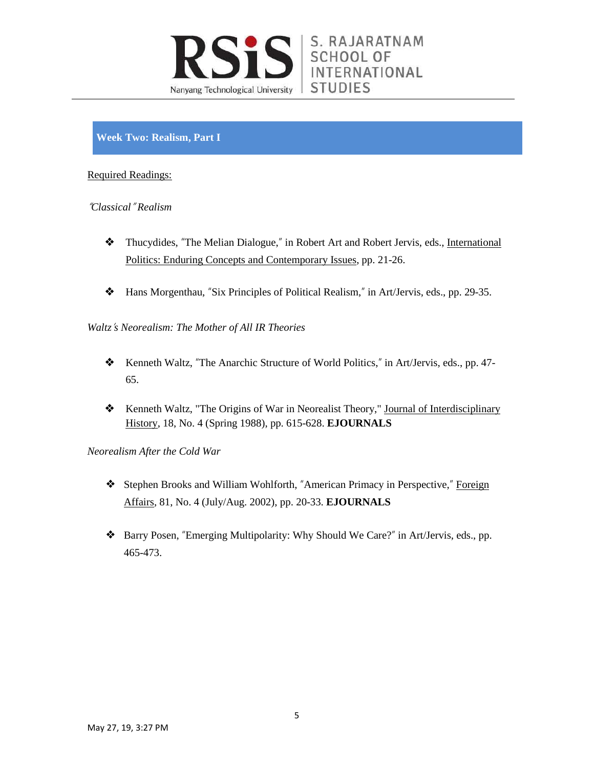

# **Week Two: Realism, Part I**

#### Required Readings:

#### "*Classical*" *Realism*

- ❖ Thucydides, "The Melian Dialogue," in Robert Art and Robert Jervis, eds., International Politics: Enduring Concepts and Contemporary Issues, pp. 21-26.
- ❖ Hans Morgenthau, "Six Principles of Political Realism," in Art/Jervis, eds., pp. 29-35.

*Waltz*'*s Neorealism: The Mother of All IR Theories*

- ❖ Kenneth Waltz, "The Anarchic Structure of World Politics," in Art/Jervis, eds., pp. 47- 65.
- ❖ Kenneth Waltz, "The Origins of War in Neorealist Theory," Journal of Interdisciplinary History, 18, No. 4 (Spring 1988), pp. 615-628. **EJOURNALS**

*Neorealism After the Cold War*

- ❖ Stephen Brooks and William Wohlforth, "American Primacy in Perspective," Foreign Affairs, 81, No. 4 (July/Aug. 2002), pp. 20-33. **EJOURNALS**
- ❖ Barry Posen, "Emerging Multipolarity: Why Should We Care?" in Art/Jervis, eds., pp. 465-473.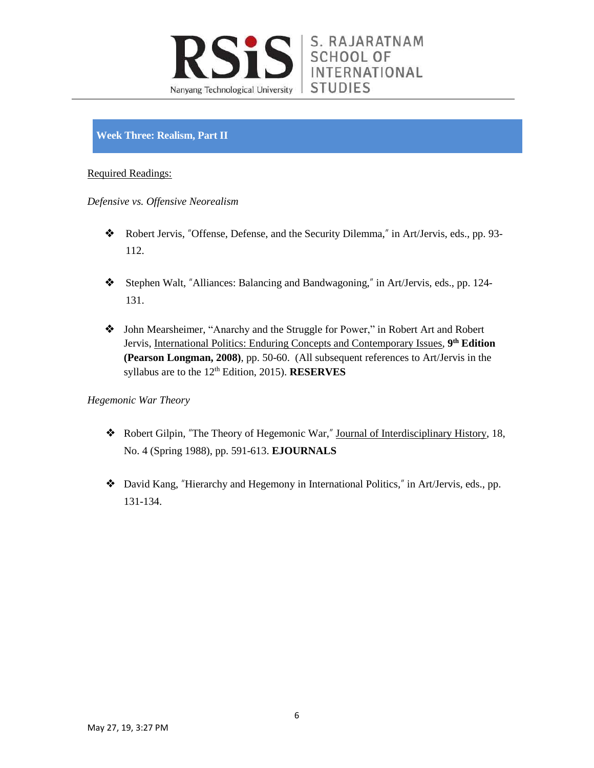

# **Week Three: Realism, Part II**

### Required Readings:

*Defensive vs. Offensive Neorealism*

- ❖ Robert Jervis, "Offense, Defense, and the Security Dilemma," in Art/Jervis, eds., pp. 93- 112.
- ❖ Stephen Walt, "Alliances: Balancing and Bandwagoning," in Art/Jervis, eds., pp. 124- 131.
- ❖ John Mearsheimer, "Anarchy and the Struggle for Power," in Robert Art and Robert Jervis, International Politics: Enduring Concepts and Contemporary Issues, **9 th Edition (Pearson Longman, 2008)**, pp. 50-60. (All subsequent references to Art/Jervis in the syllabus are to the 12<sup>th</sup> Edition, 2015). **RESERVES**

# *Hegemonic War Theory*

- ❖ Robert Gilpin, "The Theory of Hegemonic War," Journal of Interdisciplinary History, 18, No. 4 (Spring 1988), pp. 591-613. **EJOURNALS**
- ❖ David Kang, "Hierarchy and Hegemony in International Politics," in Art/Jervis, eds., pp. 131-134.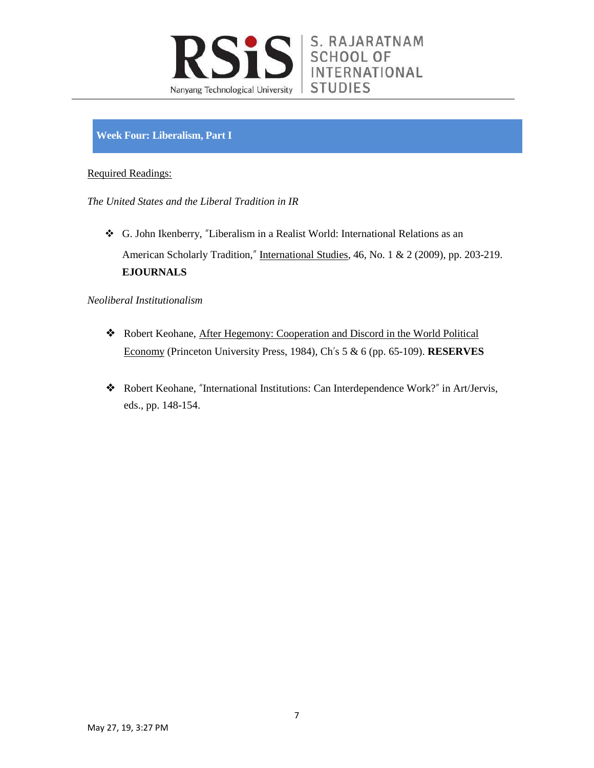

## **Week Four: Liberalism, Part I**

#### Required Readings:

*The United States and the Liberal Tradition in IR*

 G. John Ikenberry, "Liberalism in a Realist World: International Relations as an American Scholarly Tradition," International Studies, 46, No. 1 & 2 (2009), pp. 203-219. **EJOURNALS**

#### *Neoliberal Institutionalism*

- ❖ Robert Keohane, After Hegemony: Cooperation and Discord in the World Political Economy (Princeton University Press, 1984), Ch's 5 & 6 (pp. 65-109). **RESERVES**
- ❖ Robert Keohane, "International Institutions: Can Interdependence Work?" in Art/Jervis, eds., pp. 148-154.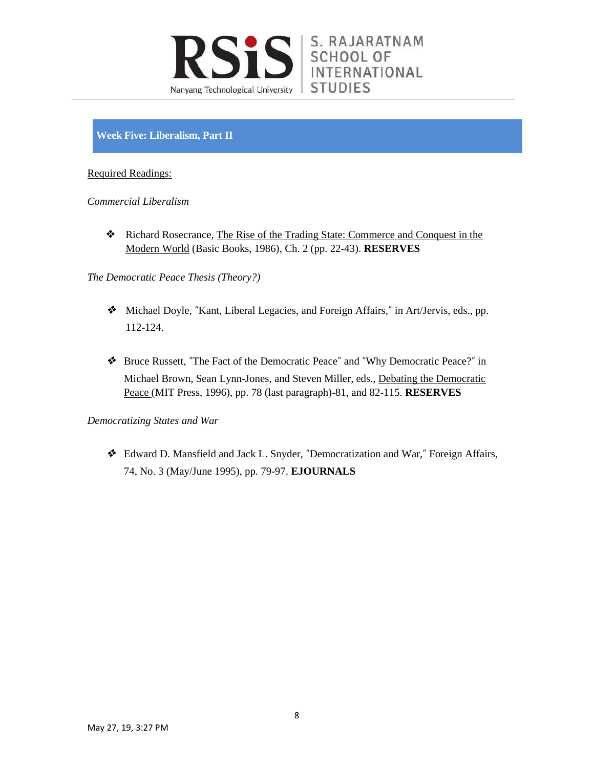

# **Week Five: Liberalism, Part II**

### Required Readings:

*Commercial Liberalism*

❖ Richard Rosecrance, The Rise of the Trading State: Commerce and Conquest in the Modern World (Basic Books, 1986), Ch. 2 (pp. 22-43). **RESERVES**

*The Democratic Peace Thesis (Theory?)*

- ❖ Michael Doyle, "Kant, Liberal Legacies, and Foreign Affairs," in Art/Jervis, eds., pp. 112-124.
- ❖ Bruce Russett, "The Fact of the Democratic Peace" and "Why Democratic Peace?" in Michael Brown, Sean Lynn-Jones, and Steven Miller, eds., Debating the Democratic Peace (MIT Press, 1996), pp. 78 (last paragraph)-81, and 82-115. **RESERVES**

#### *Democratizing States and War*

❖ Edward D. Mansfield and Jack L. Snyder, "Democratization and War," Foreign Affairs, 74, No. 3 (May/June 1995), pp. 79-97. **EJOURNALS**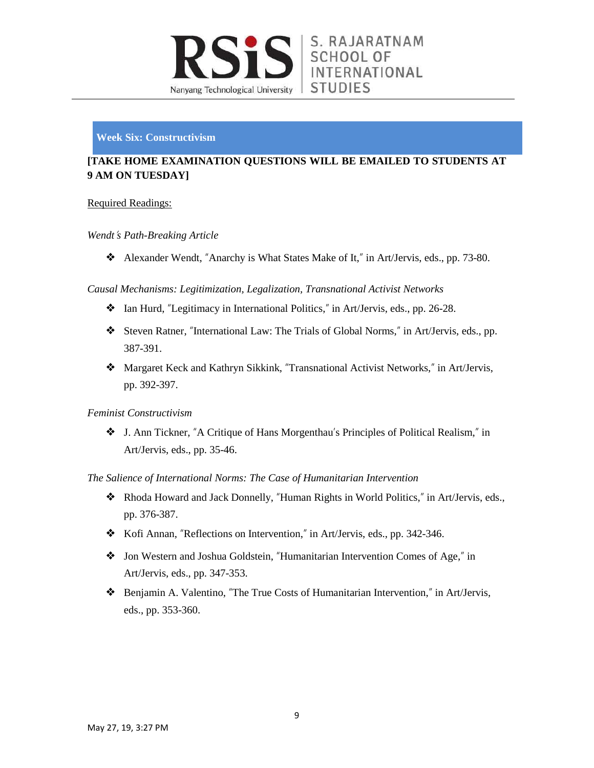

### **Week Six: Constructivism**

# **[TAKE HOME EXAMINATION QUESTIONS WILL BE EMAILED TO STUDENTS AT 9 AM ON TUESDAY]**

### Required Readings:

#### *Wendt*'*s Path-Breaking Article*

❖ Alexander Wendt, "Anarchy is What States Make of It," in Art/Jervis, eds., pp. 73-80.

*Causal Mechanisms: Legitimization, Legalization, Transnational Activist Networks*

- ❖ Ian Hurd, "Legitimacy in International Politics," in Art/Jervis, eds., pp. 26-28.
- ❖ Steven Ratner, "International Law: The Trials of Global Norms," in Art/Jervis, eds., pp. 387-391.
- ❖ Margaret Keck and Kathryn Sikkink, "Transnational Activist Networks," in Art/Jervis, pp. 392-397.

#### *Feminist Constructivism*

❖ J. Ann Tickner, "A Critique of Hans Morgenthau's Principles of Political Realism," in Art/Jervis, eds., pp. 35-46.

#### *The Salience of International Norms: The Case of Humanitarian Intervention*

- ❖ Rhoda Howard and Jack Donnelly, "Human Rights in World Politics," in Art/Jervis, eds., pp. 376-387.
- ❖ Kofi Annan, "Reflections on Intervention," in Art/Jervis, eds., pp. 342-346.
- ❖ Jon Western and Joshua Goldstein, "Humanitarian Intervention Comes of Age," in Art/Jervis, eds., pp. 347-353.
- ❖ Benjamin A. Valentino, "The True Costs of Humanitarian Intervention," in Art/Jervis, eds., pp. 353-360.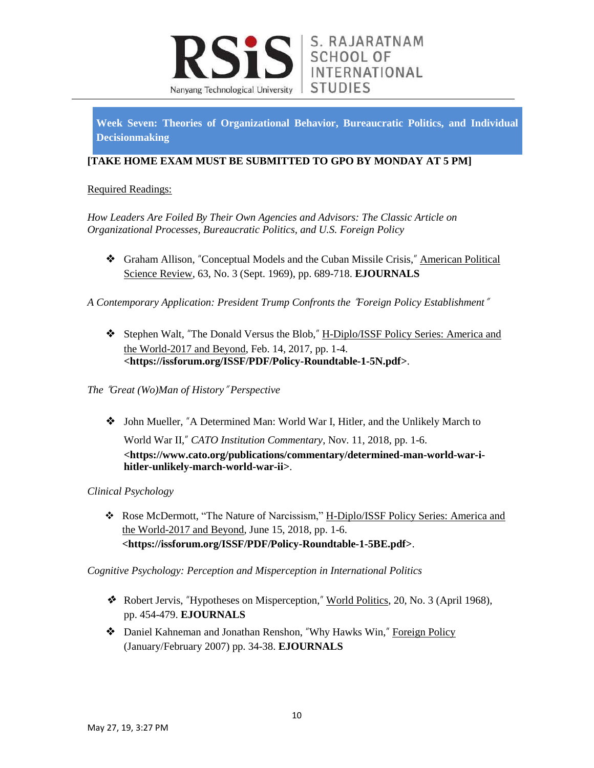

**Week Seven: Theories of Organizational Behavior, Bureaucratic Politics, and Individual Decisionmaking**

## **[TAKE HOME EXAM MUST BE SUBMITTED TO GPO BY MONDAY AT 5 PM]**

### Required Readings:

*How Leaders Are Foiled By Their Own Agencies and Advisors: The Classic Article on Organizational Processes, Bureaucratic Politics, and U.S. Foreign Policy*

❖ Graham Allison, "Conceptual Models and the Cuban Missile Crisis," American Political Science Review, 63, No. 3 (Sept. 1969), pp. 689-718. **EJOURNALS**

*A Contemporary Application: President Trump Confronts the* "*Foreign Policy Establishment*"

❖ Stephen Walt, "The Donald Versus the Blob," H-Diplo/ISSF Policy Series: America and the World-2017 and Beyond, Feb. 14, 2017, pp. 1-4. **<https://issforum.org/ISSF/PDF/Policy-Roundtable-1-5N.pdf>**.

### *The* "*Great (Wo)Man of History*" *Perspective*

❖ John Mueller, "A Determined Man: World War I, Hitler, and the Unlikely March to World War II," *CATO Institution Commentary*, Nov. 11, 2018, pp. 1-6. **<https://www.cato.org/publications/commentary/determined-man-world-war-ihitler-unlikely-march-world-war-ii>**.

# *Clinical Psychology*

\* Rose McDermott, "The Nature of Narcissism," H-Diplo/ISSF Policy Series: America and the World-2017 and Beyond, June 15, 2018, pp. 1-6. **<https://issforum.org/ISSF/PDF/Policy-Roundtable-1-5BE.pdf>**.

*Cognitive Psychology: Perception and Misperception in International Politics*

- ❖ Robert Jervis, "Hypotheses on Misperception," World Politics, 20, No. 3 (April 1968), pp. 454-479. **EJOURNALS**
- ◆ Daniel Kahneman and Jonathan Renshon, "Why Hawks Win," Foreign Policy (January/February 2007) pp. 34-38. **EJOURNALS**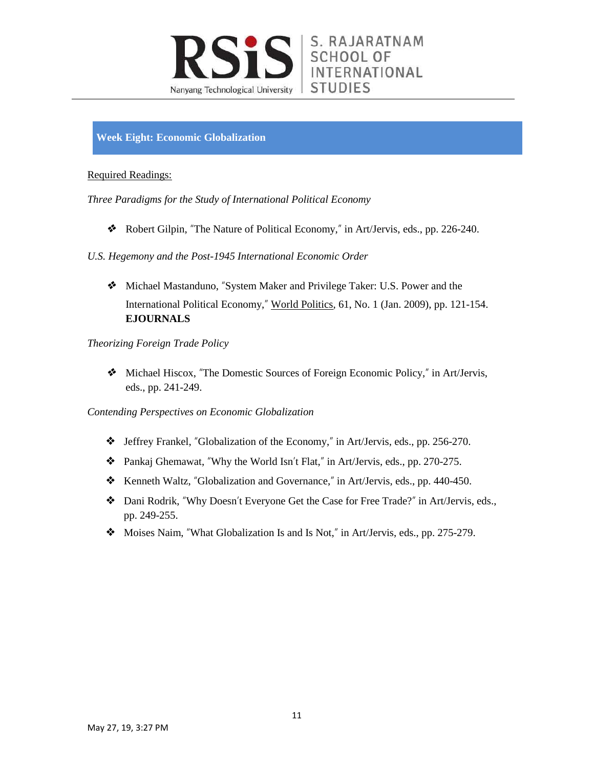

**Week Eight: Economic Globalization**

#### Required Readings:

*Three Paradigms for the Study of International Political Economy*

❖ Robert Gilpin, "The Nature of Political Economy," in Art/Jervis, eds., pp. 226-240.

*U.S. Hegemony and the Post-1945 International Economic Order*

❖ Michael Mastanduno, "System Maker and Privilege Taker: U.S. Power and the International Political Economy," World Politics, 61, No. 1 (Jan. 2009), pp. 121-154. **EJOURNALS**

*Theorizing Foreign Trade Policy*

❖ Michael Hiscox, "The Domestic Sources of Foreign Economic Policy," in Art/Jervis, eds., pp. 241-249.

*Contending Perspectives on Economic Globalization*

- ❖ Jeffrey Frankel, "Globalization of the Economy," in Art/Jervis, eds., pp. 256-270.
- ❖ Pankaj Ghemawat, "Why the World Isn't Flat," in Art/Jervis, eds., pp. 270-275.
- ❖ Kenneth Waltz, "Globalization and Governance," in Art/Jervis, eds., pp. 440-450.
- ❖ Dani Rodrik, "Why Doesn't Everyone Get the Case for Free Trade?" in Art/Jervis, eds., pp. 249-255.
- ❖ Moises Naim, "What Globalization Is and Is Not," in Art/Jervis, eds., pp. 275-279.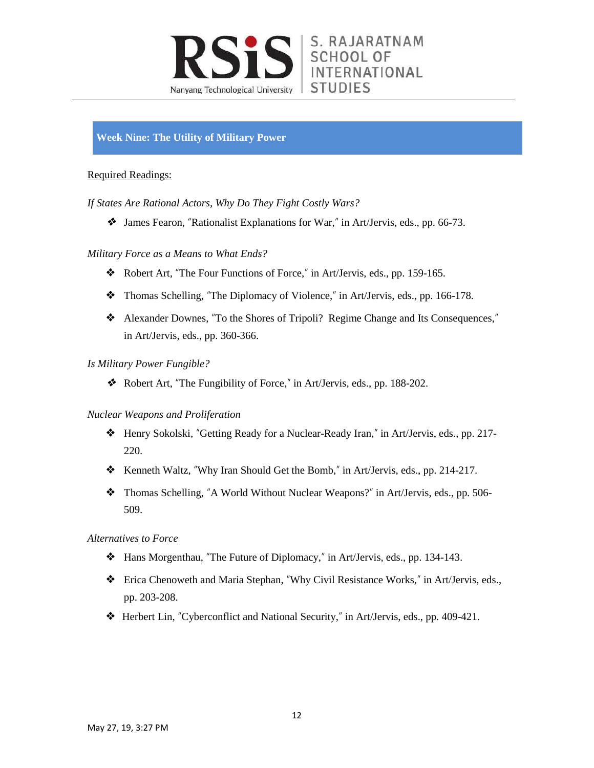

## **Week Nine: The Utility of Military Power**

#### Required Readings:

*If States Are Rational Actors, Why Do They Fight Costly Wars?*

❖ James Fearon, "Rationalist Explanations for War," in Art/Jervis, eds., pp. 66-73.

#### *Military Force as a Means to What Ends?*

- ❖ Robert Art, "The Four Functions of Force," in Art/Jervis, eds., pp. 159-165.
- ❖ Thomas Schelling, "The Diplomacy of Violence," in Art/Jervis, eds., pp. 166-178.
- ❖ Alexander Downes, "To the Shores of Tripoli? Regime Change and Its Consequences," in Art/Jervis, eds., pp. 360-366.

#### *Is Military Power Fungible?*

❖ Robert Art, "The Fungibility of Force," in Art/Jervis, eds., pp. 188-202.

#### *Nuclear Weapons and Proliferation*

- ❖ Henry Sokolski, "Getting Ready for a Nuclear-Ready Iran," in Art/Jervis, eds., pp. 217- 220.
- ❖ Kenneth Waltz, "Why Iran Should Get the Bomb," in Art/Jervis, eds., pp. 214-217.
- ❖ Thomas Schelling, "A World Without Nuclear Weapons?" in Art/Jervis, eds., pp. 506- 509.

#### *Alternatives to Force*

- ❖ Hans Morgenthau, "The Future of Diplomacy," in Art/Jervis, eds., pp. 134-143.
- ❖ Erica Chenoweth and Maria Stephan, "Why Civil Resistance Works," in Art/Jervis, eds., pp. 203-208.
- ❖ Herbert Lin, "Cyberconflict and National Security," in Art/Jervis, eds., pp. 409-421.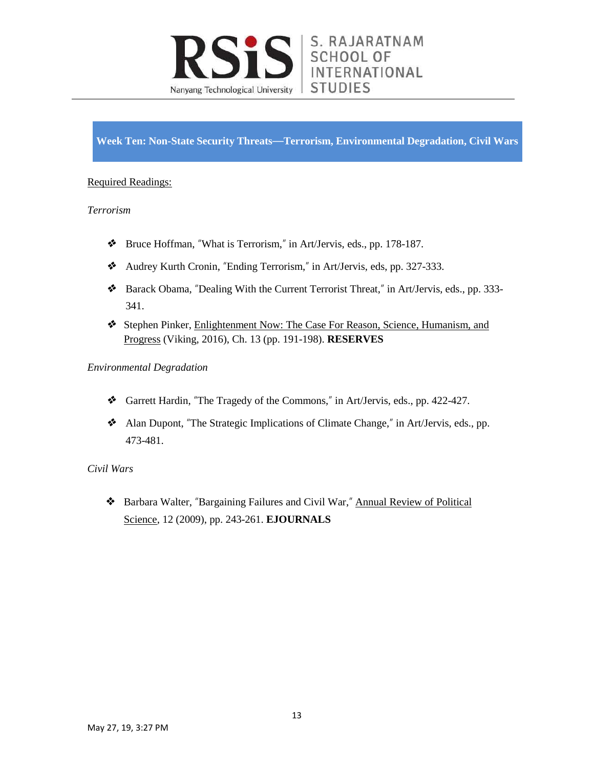

**Week Ten: Non-State Security Threats**—**Terrorism, Environmental Degradation, Civil Wars**

### Required Readings:

#### *Terrorism*

- ❖ Bruce Hoffman, "What is Terrorism," in Art/Jervis, eds., pp. 178-187.
- ❖ Audrey Kurth Cronin, "Ending Terrorism," in Art/Jervis, eds, pp. 327-333.
- ❖ Barack Obama, "Dealing With the Current Terrorist Threat," in Art/Jervis, eds., pp. 333- 341.
- ❖ Stephen Pinker, Enlightenment Now: The Case For Reason, Science, Humanism, and Progress (Viking, 2016), Ch. 13 (pp. 191-198). **RESERVES**

#### *Environmental Degradation*

- ❖ Garrett Hardin, "The Tragedy of the Commons," in Art/Jervis, eds., pp. 422-427.
- ❖ Alan Dupont, "The Strategic Implications of Climate Change," in Art/Jervis, eds., pp. 473-481.

#### *Civil Wars*

❖ Barbara Walter, "Bargaining Failures and Civil War," Annual Review of Political Science, 12 (2009), pp. 243-261. **EJOURNALS**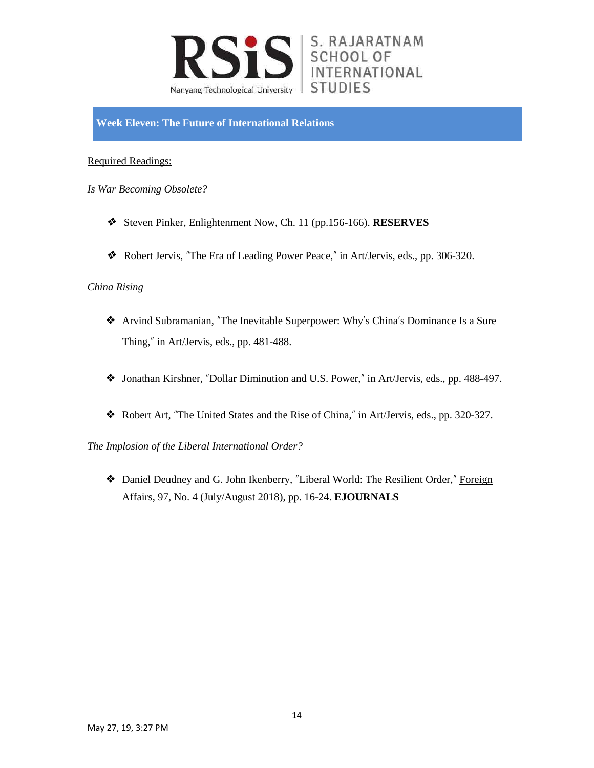

**Week Eleven: The Future of International Relations**

### Required Readings:

- *Is War Becoming Obsolete?*
	- ❖ Steven Pinker, Enlightenment Now, Ch. 11 (pp.156-166). **RESERVES**
	- ❖ Robert Jervis, "The Era of Leading Power Peace," in Art/Jervis, eds., pp. 306-320.

#### *China Rising*

- ❖ Arvind Subramanian, "The Inevitable Superpower: Why's China's Dominance Is a Sure Thing," in Art/Jervis, eds., pp. 481-488.
- ❖ Jonathan Kirshner, "Dollar Diminution and U.S. Power," in Art/Jervis, eds., pp. 488-497.
- ❖ Robert Art, "The United States and the Rise of China," in Art/Jervis, eds., pp. 320-327.

*The Implosion of the Liberal International Order?*

❖ Daniel Deudney and G. John Ikenberry, "Liberal World: The Resilient Order," Foreign Affairs, 97, No. 4 (July/August 2018), pp. 16-24. **EJOURNALS**